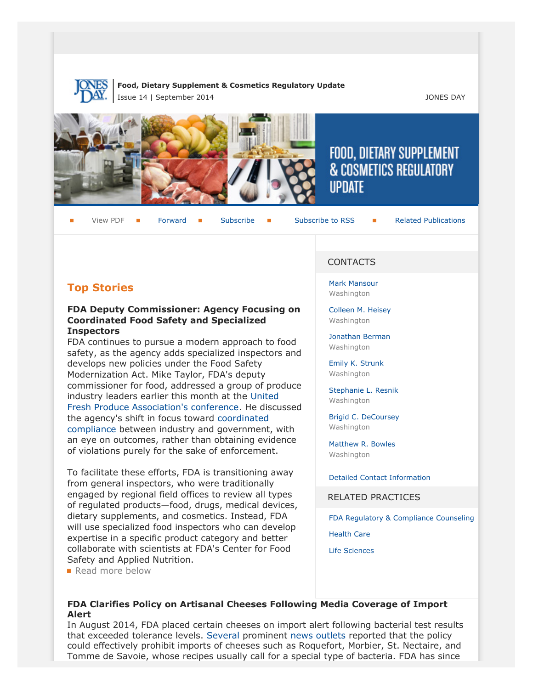

### **Food, Dietary Supplement & Cosmetics Regulatory Update** Issue 14 | September 2014 JONES DAY







# FOOD, DIETARY SUPPLEMENT **& COSMETICS REGULATORY UPDATE**

View PDF **[Forward](http://thewritestuff.jonesday.com/cff/eff98a643f0df2827f937a8bbd808fa3043d606c/) Forward [Subscribe](http://www.jonesday.com/newsknowledge/publications.aspx) Gubscribe to RSS** [Related Publications](http://www.jonesday.com/experiencepractices/servicedetail.aspx?serviceid=593cb647-a5c4-49c3-9086-fedc34b24e1d§ion=Publications)

## **Top Stories**

### **FDA Deputy Commissioner: Agency Focusing on Coordinated Food Safety and Specialized Inspectors**

FDA continues to pursue a modern approach to food safety, as the agency adds specialized inspectors and develops new policies under the Food Safety Modernization Act. Mike Taylor, FDA's deputy commissioner for food, addressed a group of produce industry leaders earlier this month at the [United](http://producenews.com/news-dep-menu/test-featured/13996-fda-s-taylor-says-food-safety-inspections-to-change-in-post-fsma) [Fresh Produce Association's conference](http://producenews.com/news-dep-menu/test-featured/13996-fda-s-taylor-says-food-safety-inspections-to-change-in-post-fsma). He discussed the agency's shift in focus toward [coordinated](http://www.foodsafetymagazine.com/news/fdas-taylor-stresses-industry-government-cooperation-to-enforce-fsma/) [compliance](http://www.foodsafetymagazine.com/news/fdas-taylor-stresses-industry-government-cooperation-to-enforce-fsma/) between industry and government, with an eye on outcomes, rather than obtaining evidence of violations purely for the sake of enforcement.

To facilitate these efforts, FDA is transitioning away from general inspectors, who were traditionally engaged by regional field offices to review all types of regulated products—food, drugs, medical devices, dietary supplements, and cosmetics. Instead, FDA will use specialized food inspectors who can develop expertise in a specific product category and better collaborate with scientists at FDA's Center for Food Safety and Applied Nutrition.

**Read more below** 

### CONTACTS

[Mark Mansour](http://www.jonesday.com/mmansour) Washington

[Colleen M. Heisey](http://www.jonesday.com/cmheisey) Washington

[Jonathan Berman](http://www.jonesday.com/jberman) **Washington** 

[Emily K. Strunk](http://www.jonesday.com/estrunk) Washington

[Stephanie L. Resnik](http://www.jonesday.com/sresnik) Washington

[Brigid C. DeCoursey](http://www.jonesday.com/bdecoursey) Washington

[Matthew R. Bowles](http://www.jonesday.com/mbowles) Washington

[Detailed Contact Information](#page-4-0)

RELATED PRACTICES

[FDA Regulatory & Compliance Counseling](http://www.jonesday.com/fdaregulatoryandcompliancecounseling/)

[Health Care](http://www.jonesday.com/Health-Care-Practices)

[Life Sciences](http://www.jonesday.com/lifesciences/)

### **FDA Clarifies Policy on Artisanal Cheeses Following Media Coverage of Import Alert**

In August 2014, FDA placed certain cheeses on import alert following bacterial test results that exceeded tolerance levels. [Several](http://www.latimes.com/food/dailydish/la-dd-new-fda-regulations-cheeses-20140903-story.html) prominent [news outlets](http://www.cnn.com/2014/09/05/politics/fda-cheese-rules/) reported that the policy could effectively prohibit imports of cheeses such as Roquefort, Morbier, St. Nectaire, and Tomme de Savoie, whose recipes usually call for a special type of bacteria. FDA has since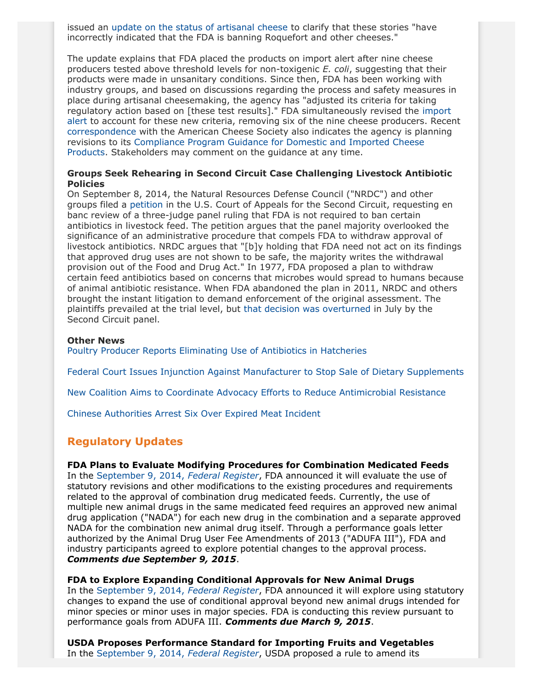issued an [update on the status of artisanal cheese](http://www.fda.gov/Food/NewsEvents/ucm413309.htm) to clarify that these stories "have incorrectly indicated that the FDA is banning Roquefort and other cheeses."

The update explains that FDA placed the products on import alert after nine cheese producers tested above threshold levels for non-toxigenic *E. coli*, suggesting that their products were made in unsanitary conditions. Since then, FDA has been working with industry groups, and based on discussions regarding the process and safety measures in place during artisanal cheesemaking, the agency has "adjusted its criteria for taking regulatory action based on [these test results]." FDA simultaneously revised the [import](http://www.accessdata.fda.gov/CMS_IA/importalert_9.html) [alert](http://www.accessdata.fda.gov/CMS_IA/importalert_9.html) to account for these new criteria, removing six of the nine cheese producers. Recent [correspondence](http://www.fda.gov/AboutFDA/CentersOffices/OfficeofFoods/CFSAN/CFSANFOIAElectronicReadingRoom/ucm413308.htm) with the American Cheese Society also indicates the agency is planning revisions to its [Compliance Program Guidance for Domestic and Imported Cheese](http://www.fda.gov/food/complianceenforcement/foodcomplianceprograms/ucm071496.htm) [Products.](http://www.fda.gov/food/complianceenforcement/foodcomplianceprograms/ucm071496.htm) Stakeholders may comment on the guidance at any time.

### **Groups Seek Rehearing in Second Circuit Case Challenging Livestock Antibiotic Policies**

On September 8, 2014, the Natural Resources Defense Council ("NRDC") and other groups filed a [petition](http://docs.nrdc.org/health/files/hea_14091102a.pdf) in the U.S. Court of Appeals for the Second Circuit, requesting en banc review of a three-judge panel ruling that FDA is not required to ban certain antibiotics in livestock feed. The petition argues that the panel majority overlooked the significance of an administrative procedure that compels FDA to withdraw approval of livestock antibiotics. NRDC argues that "[b]y holding that FDA need not act on its findings that approved drug uses are not shown to be safe, the majority writes the withdrawal provision out of the Food and Drug Act." In 1977, FDA proposed a plan to withdraw certain feed antibiotics based on concerns that microbes would spread to humans because of animal antibiotic resistance. When FDA abandoned the plan in 2011, NRDC and others brought the instant litigation to demand enforcement of the original assessment. The plaintiffs prevailed at the trial level, but [that decision was overturned](http://docs.nrdc.org/health/files/hea_14072401a.pdf) in July by the Second Circuit panel.

#### **Other News**

[Poultry Producer Reports Eliminating Use of Antibiotics in Hatcheries](http://www.nytimes.com/2014/09/04/business/perdue-eliminates-antibiotic-use-in-its-hatcheries.html?ref=health&_r=0)

[Federal Court Issues Injunction Against Manufacturer to Stop Sale of Dietary Supplements](http://www.fda.gov/NewsEvents/Newsroom/PressAnnouncements/ucm411390.htm)

[New Coalition Aims to Coordinate Advocacy Efforts to Reduce Antimicrobial Resistance](http://www.infectioncontroltoday.com/news/2014/09/idsa-convenes-new-national-stakeholder-group-on-antimicrobial-resistance.aspx)

[Chinese Authorities Arrest Six Over Expired Meat Incident](http://www.businessinsider.com/afp-china-arrests-six-from-osi-unit-in-food-scandal-2014-8)

### **Regulatory Updates**

### **FDA Plans to Evaluate Modifying Procedures for Combination Medicated Feeds**

In the [September 9, 2014,](http://www.gpo.gov/fdsys/pkg/FR-2014-09-09/pdf/2014-21226.pdf) *Federal Register*, FDA announced it will evaluate the use of statutory revisions and other modifications to the existing procedures and requirements related to the approval of combination drug medicated feeds. Currently, the use of multiple new animal drugs in the same medicated feed requires an approved new animal drug application ("NADA") for each new drug in the combination and a separate approved NADA for the combination new animal drug itself. Through a performance goals letter authorized by the Animal Drug User Fee Amendments of 2013 ("ADUFA III"), FDA and industry participants agreed to explore potential changes to the approval process. *Comments due September 9, 2015*.

**FDA to Explore Expanding Conditional Approvals for New Animal Drugs** In the [September 9, 2014,](http://www.gpo.gov/fdsys/pkg/FR-2014-09-09/pdf/2014-21227.pdf) *Federal Register*, FDA announced it will explore using statutory changes to expand the use of conditional approval beyond new animal drugs intended for

minor species or minor uses in major species. FDA is conducting this review pursuant to performance goals from ADUFA III. *Comments due March 9, 2015*.

**USDA Proposes Performance Standard for Importing Fruits and Vegetables** In the [September 9, 2014,](http://www.gpo.gov/fdsys/pkg/FR-2014-09-09/pdf/2014-21406.pdf) *Federal Register*, USDA proposed a rule to amend its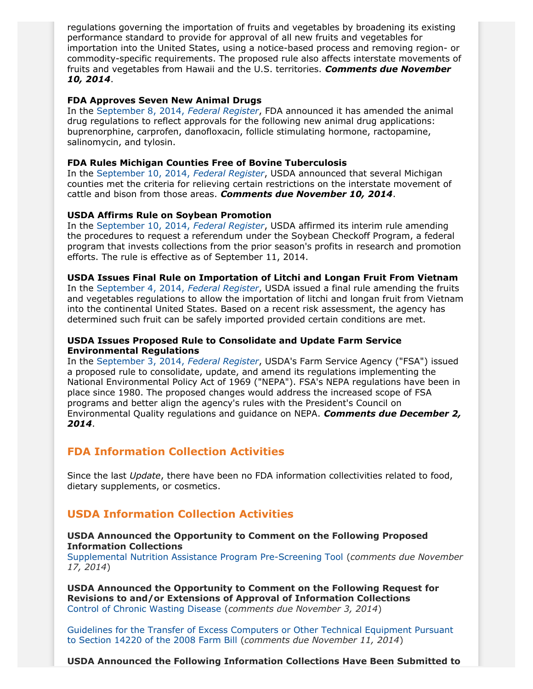regulations governing the importation of fruits and vegetables by broadening its existing performance standard to provide for approval of all new fruits and vegetables for importation into the United States, using a notice-based process and removing region- or commodity-specific requirements. The proposed rule also affects interstate movements of fruits and vegetables from Hawaii and the U.S. territories. *Comments due November 10, 2014*.

### **FDA Approves Seven New Animal Drugs**

In the [September 8, 2014,](http://www.gpo.gov/fdsys/pkg/FR-2014-09-08/pdf/2014-20325.pdf) *Federal Register*, FDA announced it has amended the animal drug regulations to reflect approvals for the following new animal drug applications: buprenorphine, carprofen, danofloxacin, follicle stimulating hormone, ractopamine, salinomycin, and tylosin.

### **FDA Rules Michigan Counties Free of Bovine Tuberculosis**

In the [September 10, 2014,](http://www.gpo.gov/fdsys/pkg/FR-2014-09-10/pdf/2014-21583.pdf) *Federal Register*, USDA announced that several Michigan counties met the criteria for relieving certain restrictions on the interstate movement of cattle and bison from those areas. *Comments due November 10, 2014*.

### **USDA Affirms Rule on Soybean Promotion**

In the [September 10, 2014,](http://www.gpo.gov/fdsys/pkg/FR-2014-09-10/pdf/2014-21512.pdf) *Federal Register*, USDA affirmed its interim rule amending the procedures to request a referendum under the Soybean Checkoff Program, a federal program that invests collections from the prior season's profits in research and promotion efforts. The rule is effective as of September 11, 2014.

### **USDA Issues Final Rule on Importation of Litchi and Longan Fruit From Vietnam**

In the [September 4, 2014,](http://www.gpo.gov/fdsys/pkg/FR-2014-09-04/pdf/2014-21113.pdf) *Federal Register*, USDA issued a final rule amending the fruits and vegetables regulations to allow the importation of litchi and longan fruit from Vietnam into the continental United States. Based on a recent risk assessment, the agency has determined such fruit can be safely imported provided certain conditions are met.

### **USDA Issues Proposed Rule to Consolidate and Update Farm Service Environmental Regulations**

In the [September 3, 2014,](http://www.gpo.gov/fdsys/pkg/FR-2014-09-03/pdf/2014-20836.pdf) *Federal Register*, USDA's Farm Service Agency ("FSA") issued a proposed rule to consolidate, update, and amend its regulations implementing the National Environmental Policy Act of 1969 ("NEPA"). FSA's NEPA regulations have been in place since 1980. The proposed changes would address the increased scope of FSA programs and better align the agency's rules with the President's Council on Environmental Quality regulations and guidance on NEPA. *Comments due December 2, 2014*.

### **FDA Information Collection Activities**

Since the last *Update*, there have been no FDA information collectivities related to food, dietary supplements, or cosmetics.

### **USDA Information Collection Activities**

### **USDA Announced the Opportunity to Comment on the Following Proposed Information Collections**

[Supplemental Nutrition Assistance Program Pre-Screening Tool](http://www.gpo.gov/fdsys/pkg/FR-2014-09-16/pdf/2014-21948.pdf) (*comments due November 17, 2014*)

**USDA Announced the Opportunity to Comment on the Following Request for Revisions to and/or Extensions of Approval of Information Collections** [Control of Chronic Wasting Disease](http://www.gpo.gov/fdsys/pkg/FR-2014-09-04/pdf/2014-21115.pdf) (*comments due November 3, 2014*)

[Guidelines for the Transfer of Excess Computers or Other Technical Equipment Pursuant](http://www.gpo.gov/fdsys/pkg/FR-2014-09-11/pdf/2014-21669.pdf) [to Section 14220 of the 2008 Farm Bill](http://www.gpo.gov/fdsys/pkg/FR-2014-09-11/pdf/2014-21669.pdf) (*comments due November 11, 2014*)

**USDA Announced the Following Information Collections Have Been Submitted to**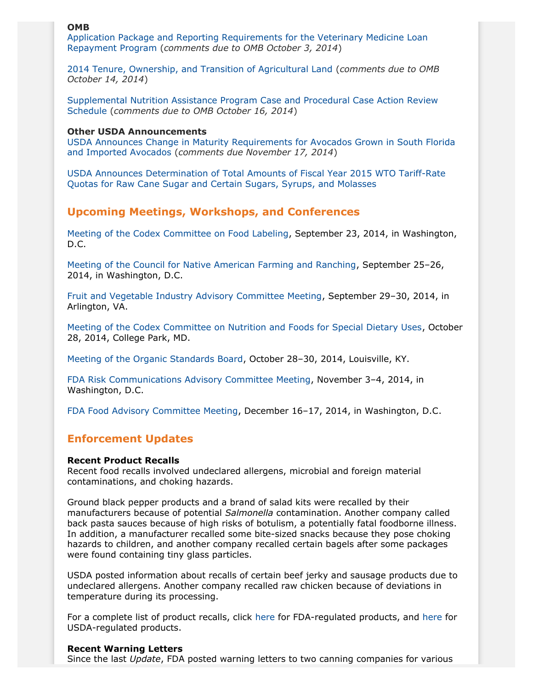### **OMB**

[Application Package and Reporting Requirements for the Veterinary Medicine Loan](http://www.gpo.gov/fdsys/pkg/FR-2014-09-03/pdf/2014-20828.pdf) [Repayment Program](http://www.gpo.gov/fdsys/pkg/FR-2014-09-03/pdf/2014-20828.pdf) (*comments due to OMB October 3, 2014*)

[2014 Tenure, Ownership, and Transition of Agricultural Land](http://www.gpo.gov/fdsys/pkg/FR-2014-09-12/pdf/2014-21723.pdf) (*comments due to OMB October 14, 2014*)

[Supplemental Nutrition Assistance Program Case and Procedural Case Action Review](http://www.gpo.gov/fdsys/pkg/FR-2014-09-16/pdf/2014-21947.pdf) [Schedule](http://www.gpo.gov/fdsys/pkg/FR-2014-09-16/pdf/2014-21947.pdf) (*comments due to OMB October 16, 2014*)

#### **Other USDA Announcements**

[USDA Announces Change in Maturity Requirements for Avocados Grown in South Florida](http://www.gpo.gov/fdsys/pkg/FR-2014-09-16/pdf/2014-22052.pdf) [and Imported Avocados](http://www.gpo.gov/fdsys/pkg/FR-2014-09-16/pdf/2014-22052.pdf) (*comments due November 17, 2014*)

[USDA Announces Determination of Total Amounts of Fiscal Year 2015 WTO Tariff-Rate](http://www.gpo.gov/fdsys/pkg/FR-2014-09-04/pdf/2014-20974.pdf) [Quotas for Raw Cane Sugar and Certain Sugars, Syrups, and Molasses](http://www.gpo.gov/fdsys/pkg/FR-2014-09-04/pdf/2014-20974.pdf)

### **Upcoming Meetings, Workshops, and Conferences**

[Meeting of the Codex Committee on Food Labeling,](http://www.gpo.gov/fdsys/pkg/FR-2014-08-28/pdf/2014-20417.pdf) September 23, 2014, in Washington, D.C.

[Meeting of the Council for Native American Farming and Ranching](http://www.gpo.gov/fdsys/pkg/FR-2014-09-05/pdf/2014-21181.pdf), September 25–26, 2014, in Washington, D.C.

[Fruit and Vegetable Industry Advisory Committee Meeting](http://www.gpo.gov/fdsys/pkg/FR-2014-09-03/pdf/2014-20833.pdf), September 29–30, 2014, in Arlington, VA.

[Meeting of the Codex Committee on Nutrition and Foods for Special Dietary Uses,](http://www.gpo.gov/fdsys/pkg/FR-2014-09-10/pdf/2014-21551.pdf) October 28, 2014, College Park, MD.

[Meeting of the Organic Standards Board](http://www.gpo.gov/fdsys/pkg/FR-2014-09-08/pdf/2014-21292.pdf), October 28–30, 2014, Louisville, KY.

[FDA Risk Communications Advisory Committee Meeting](http://www.gpo.gov/fdsys/pkg/FR-2014-08-28/pdf/2014-20481.pdf), November 3–4, 2014, in Washington, D.C.

[FDA Food Advisory Committee Meeting,](http://www.gpo.gov/fdsys/pkg/FR-2014-08-19/pdf/2014-19601.pdf) December 16–17, 2014, in Washington, D.C.

### **Enforcement Updates**

#### **Recent Product Recalls**

Recent food recalls involved undeclared allergens, microbial and foreign material contaminations, and choking hazards.

Ground black pepper products and a brand of salad kits were recalled by their manufacturers because of potential *Salmonella* contamination. Another company called back pasta sauces because of high risks of botulism, a potentially fatal foodborne illness. In addition, a manufacturer recalled some bite-sized snacks because they pose choking hazards to children, and another company recalled certain bagels after some packages were found containing tiny glass particles.

USDA posted information about recalls of certain beef jerky and sausage products due to undeclared allergens. Another company recalled raw chicken because of deviations in temperature during its processing.

For a complete list of product recalls, click [here](http://www.fda.gov/safety/recalls/) for FDA-regulated products, and [here](http://www.fsis.usda.gov/wps/portal/fsis/topics/recalls-and-public-health-alerts/current-recalls-and-alerts) for USDA-regulated products.

#### **Recent Warning Letters**

Since the last *Update*, FDA posted warning letters to two canning companies for various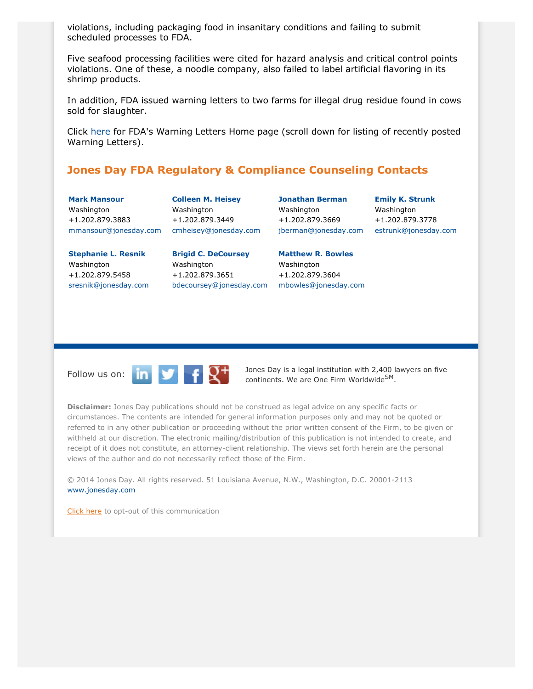violations, including packaging food in insanitary conditions and failing to submit scheduled processes to FDA.

Five seafood processing facilities were cited for hazard analysis and critical control points violations. One of these, a noodle company, also failed to label artificial flavoring in its shrimp products.

In addition, FDA issued warning letters to two farms for illegal drug residue found in cows sold for slaughter.

Click [here](http://www.fda.gov/iceci/enforcementactions/WarningLetters/default.htm) for FDA's Warning Letters Home page (scroll down for listing of recently posted Warning Letters).

### <span id="page-4-0"></span>**Jones Day FDA Regulatory & Compliance Counseling Contacts**

**[Mark Mansour](http://www.jonesday.com/mmansour)** Washington +1.202.879.3883 [mmansour@jonesday.com](mailto:mmansour@jonesday.com)

**[Stephanie L. Resnik](http://www.jonesday.com/sresnik)** Washington +1.202.879.5458 [sresnik@jonesday.com](mailto:sresnick@jonesday.com)



**[Brigid C. DeCoursey](http://www.jonesday.com/bdecoursey)**

Washington +1.202.879.3651

**[Jonathan Berman](http://www.jonesday.com/jberman)** Washington +1.202.879.3669 [jberman@jonesday.com](mailto:jberman@jonesday.com)

**[Emily K. Strunk](http://www.jonesday.com/estrunk)** Washington +1.202.879.3778 [estrunk@jonesday.com](mailto:estrunk@jonesday.com)

[bdecoursey@jonesday.com](mailto:bdecoursey@jonesday.com) [mbowles@jonesday.com](mailto:mbowles@jonesday.com) **[Matthew R. Bowles](http://www.jonesday.com/mbowles)** Washington +1.202.879.3604



Follow us on:  $\begin{array}{|c|c|c|c|c|c|}\n\hline\n\end{array}$   $\begin{array}{|c|c|c|c|c|}\n\hline\n\end{array}$   $\begin{array}{|c|c|c|c|}\n\hline\n\end{array}$  Dones Day is a legal institution with 2,400 lawyers on five continents. We are One Firm Worldwide<sup>SM</sup>.

**Disclaimer:** Jones Day publications should not be construed as legal advice on any specific facts or circumstances. The contents are intended for general information purposes only and may not be quoted or referred to in any other publication or proceeding without the prior written consent of the Firm, to be given or withheld at our discretion. The electronic mailing/distribution of this publication is not intended to create, and receipt of it does not constitute, an attorney-client relationship. The views set forth herein are the personal views of the author and do not necessarily reflect those of the Firm.

© 2014 Jones Day. All rights reserved. 51 Louisiana Avenue, N.W., Washington, D.C. 20001-2113 [www.jonesday.com](http://www.jonesday.com)

[Click here](http://thewritestuff.jonesday.com/ro/) to opt-out of this communication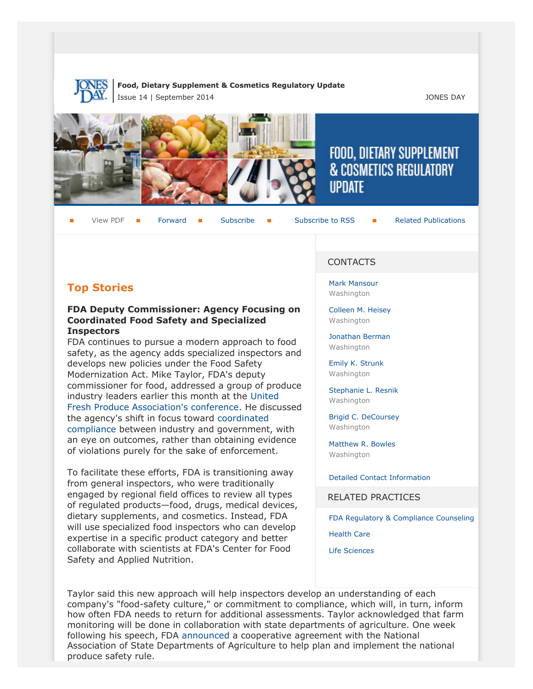

### **Food, Dietary Supplement & Cosmetics Regulatory Update** Issue 14 | September 2014 JONES DAY







# FOOD, DIETARY SUPPLEMENT **& COSMETICS REGULATORY IIPDATF**

View PDF **[Forward](http://thewritestuff.jonesday.com/cff/eff98a643f0df2827f937a8bbd808fa3043d606c/) Forward [Subscribe](http://www.jonesday.com/newsknowledge/publications.aspx) Gubscribe to RSS** [Related Publications](http://www.jonesday.com/experiencepractices/servicedetail.aspx?serviceid=593cb647-a5c4-49c3-9086-fedc34b24e1d§ion=Publications)

## **Top Stories**

### **FDA Deputy Commissioner: Agency Focusing on Coordinated Food Safety and Specialized Inspectors**

FDA continues to pursue a modern approach to food safety, as the agency adds specialized inspectors and develops new policies under the Food Safety Modernization Act. Mike Taylor, FDA's deputy commissioner for food, addressed a group of produce industry leaders earlier this month at the [United](http://producenews.com/news-dep-menu/test-featured/13996-fda-s-taylor-says-food-safety-inspections-to-change-in-post-fsma) [Fresh Produce Association's conference](http://producenews.com/news-dep-menu/test-featured/13996-fda-s-taylor-says-food-safety-inspections-to-change-in-post-fsma). He discussed the agency's shift in focus toward [coordinated](http://www.foodsafetymagazine.com/news/fdas-taylor-stresses-industry-government-cooperation-to-enforce-fsma/) [compliance](http://www.foodsafetymagazine.com/news/fdas-taylor-stresses-industry-government-cooperation-to-enforce-fsma/) between industry and government, with an eye on outcomes, rather than obtaining evidence of violations purely for the sake of enforcement.

To facilitate these efforts, FDA is transitioning away from general inspectors, who were traditionally engaged by regional field offices to review all types of regulated products—food, drugs, medical devices, dietary supplements, and cosmetics. Instead, FDA will use specialized food inspectors who can develop expertise in a specific product category and better collaborate with scientists at FDA's Center for Food Safety and Applied Nutrition.

### CONTACTS

[Mark Mansour](http://www.jonesday.com/mmansour) Washington

[Colleen M. Heisey](http://www.jonesday.com/cmheisey) Washington

[Jonathan Berman](http://www.jonesday.com/jberman) **Washington** 

[Emily K. Strunk](http://www.jonesday.com/estrunk) Washington

[Stephanie L. Resnik](http://www.jonesday.com/sresnik) Washington

[Brigid C. DeCoursey](http://www.jonesday.com/bdecoursey) Washington

[Matthew R. Bowles](http://www.jonesday.com/mbowles) Washington

[Detailed Contact Information](#page-4-0)

RELATED PRACTICES

[FDA Regulatory & Compliance Counseling](http://www.jonesday.com/fdaregulatoryandcompliancecounseling/)

[Health Care](http://www.jonesday.com/Health-Care-Practices)

[Life Sciences](http://www.jonesday.com/lifesciences/)

Taylor said this new approach will help inspectors develop an understanding of each company's "food-safety culture," or commitment to compliance, which will, in turn, inform how often FDA needs to return for additional assessments. Taylor acknowledged that farm monitoring will be done in collaboration with state departments of agriculture. One week following his speech, FDA [announced](http://www.fda.gov/Food/NewsEvents/ConstituentUpdates/ucm414777.htm) a cooperative agreement with the National Association of State Departments of Agriculture to help plan and implement the national produce safety rule.